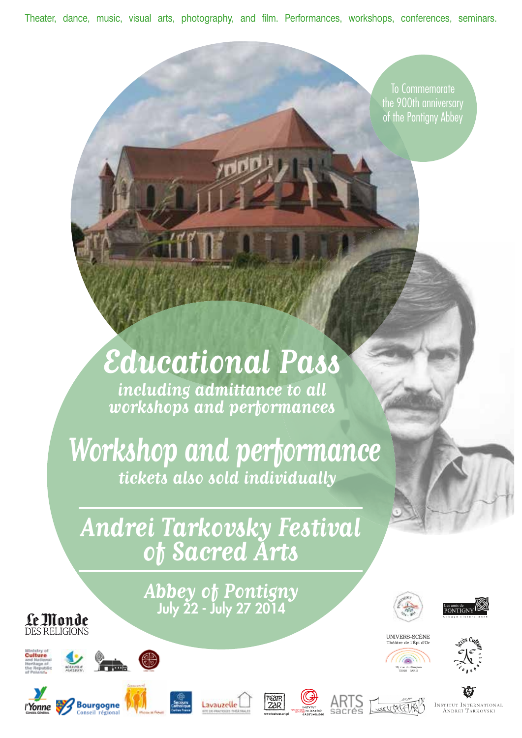Theater, dance, music, visual arts, photography, and film. Performances, workshops, conferences, seminars.

To Commemorate the 900th anniversary of the Pontigny Abbey

# **Educational Pass**

**including admittance to all workshops and performances**

**Workshop and performance tickets also sold individually**

**Andrei Tarkovsky Festival of Sacred Arts**

> **Abbey of Pontigny** July 22 - July 27 2014







75018 PARIS







**Le Monde** 



















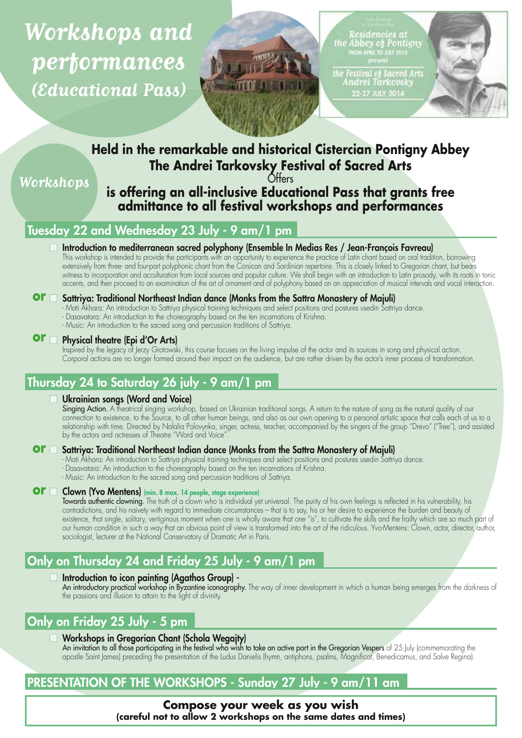**Workshops and performances (Educational Pass)**



Residencies at<br>the Abbey of Pontigny<br>ROM APRI TO JULY 2014

.<br>Festival of Sacred Arts<br>Andrei Tarkovsky **22-27 JULY 2014** 



# **Held in the remarkable and historical Cistercian Pontigny Abbey The Andrei Tarkovsky Festival of Sacred Arts**

**O**tters

**Workshops**

# **is offering an all-inclusive Educational Pass that grants free admittance to all festival workshops and performances**

# Tuesday 22 and Wednesday 23 July - 9 am/1 pm

#### Introduction to mediterranean sacred polyphony (Ensemble In Medias Res / Jean-François Favreau)

This workshop is intended to provide the participants with an opportunity to experience the practice of Latin chant based on oral tradition, borrowing extensively from three- and four-part polyphonic chant from the Corsican and Sardinian repertoire. This is closely linked to Gregorian chant, but bears witness to incorporation and acculturation from local sources and popular culture. We shall begin with an introduction to Latin prosody, with its roots in tonic accents, and then proceed to an examination of the art of ornament and of polyphony based on an appreciation of musical intervals and vocal interaction.

#### **Or**  $\Box$  Sattriya: Traditional Northeast Indian dance (Monks from the Sattra Monastery of Majuli)

- Mati Akhara: An introduction to Sattriya physical training techniques and select positions and postures usedin Sattriya dance.
- Dasavatara: An introduction to the choreography based on the ten incarnations of Krishna.
- Music: An introduction to the sacred song and percussion traditions of Sattriya.

#### Physical theatre (Epi d'Or Arts) **or**

Inspired by the legacy of Jerzy Grotowski, this course focuses on the living impulse of the actor and its sources in song and physical action. Corporal actions are no longer formed around their impact on the audience, but are rather driven by the actor's inner process of transformation.

# Thursday 24 to Saturday 26 july - 9 am/1 pm

#### Ukrainian songs (Word and Voice)

Singing Action. A theatrical singing workshop, based on Ukrainian traditional songs. A return to the nature of song as the natural quality of our connection to existence, to the Source, to all other human beings, and also as our own opening to a personal artistic space that calls each of us to a relationship with time. Directed by Nalalia Polovynka, singer, actress, teacher, accompanied by the singers of the group "Drevo" ("Tree"), and assisted by the actors and actresses of Theatre "Word and Voice".

#### **Or** Sattriya: Traditional Northeast Indian dance (Monks from the Sattra Monastery of Majuli)

- Mati Akhara: An introduction to Sattriya physical training techniques and select positions and postures usedin Sattriya dance.
- Dasavatara: An introduction to the choreography based on the ten incarnations of Krishna.
- Music: An introduction to the sacred song and percussion traditions of Sattriya.

#### **Or**  $\Box$  **Clown (Yvo Mentens)** (min. 8 max. 14 people, stage experience)

Towards authentic clowning. The truth of a clown who is individual yet universal. The purity of his own feelings is reflected in his vulnerability, his contradictions, and his naivety with regard to immediate circumstances - that is to say, his or her desire to experience the burden and beauty of existence, that single, solitary, vertiginous moment when one is wholly aware that one "is", to cultivate the skills and the frailty which are so much part of our human condition in such a way that an obvious point of view is transformed into the art of the ridiculous. Yvo-Mentens: Clown, actor, director, author, sociologist, lecturer at the National Conservatory of Dramatic Art in Paris.

# Only on Thursday 24 and Friday 25 July - 9 am/1 pm

#### Introduction to icon painting (Agathos Group) -

An introductory practical workshop in Byzantine iconography. The way of inner development in which a human being emerges from the darkness of the passions and illusion to attain to the light of divinity.

# Only on Friday 25 July - 5 pm

#### Workshops in Gregorian Chant (Schola Wegajty)

An invitation to all those participating in the festival who wish to take an active part in the Gregorian Vespers of 25 July (commemorating the apostle Saint James) preceding the presentation of the Ludus Danielis (hymn, antiphons, psalms, Magnificat, Benedicamus, and Salve Regina).

# PRESENTATION OF THE WORKSHOPS - Sunday 27 July - 9 am/11 am

**Compose your week as you wish (careful not to allow 2 workshops on the same dates and times)**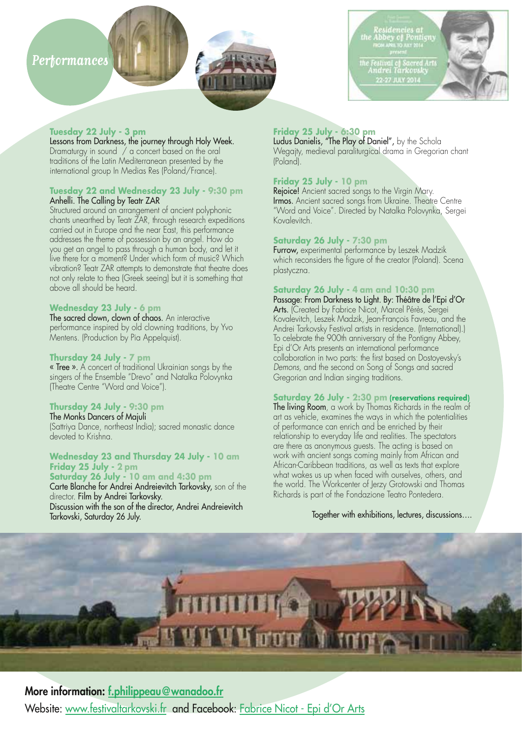# **Performances**



# encies ai<br>y of Pontigny .<br>Festival of Sacred Arts<br>Indrei Tarkovsky 22-27 JULY 2014

#### **Tuesday 22 July - 3 pm**

Lessons from Darkness, the journey through Holy Week. Dramaturgy in sound / a concert based on the oral traditions of the Latin Mediterranean presented by the international group In Medias Res (Poland/France).

#### **Tuesday 22 and Wednesday 23 July - 9:30 pm** Anhelli. The Calling by Teatr ZAR

Structured around an arrangement of ancient polyphonic chants unearthed by Teatr ZAR, through research expeditions carried out in Europe and the near East, this performance addresses the theme of possession by an angel. How do you get an angel to pass through a human body, and let it live there for a moment? Under which form of music? Which vibration? Teatr ZAR attempts to demonstrate that theatre does not only relate to thea (Greek seeing) but it is something that above all should be heard.

#### **Wednesday 23 July - 6 pm**

The sacred clown, clown of chaos. An interactive performance inspired by old clowning traditions, by Yvo Mentens. (Production by Pia Appelquist).

#### **Thursday 24 July - 7 pm**

« Tree ». A concert of traditional Ukrainian songs by the singers of the Ensemble "Drevo" and Natalka Polovynka (Theatre Centre "Word and Voice").

#### **Thursday 24 July - 9:30 pm**

The Monks Dancers of Majuli (Sattriya Dance, northeast India); sacred monastic dance devoted to Krishna.

#### **Wednesday 23 and Thursday 24 July - 10 am Friday 25 July - 2 pm**

**Saturday 26 July - 10 am and 4:30 pm** Carte Blanche for Andrei Andreievitch Tarkovsky, son of the director. Film by Andrei Tarkovsky. Discussion with the son of the director, Andrei Andreievitch Tarkovski, Saturday 26 July.

#### **Friday 25 July - 6:30 pm**

Ludus Danielis, "The Play of Daniel", by the Schola Wegajty, medieval paraliturgical drama in Gregorian chant (Poland).

#### **Friday 25 July - 10 pm**

Rejoice! Ancient sacred songs to the Virgin Mary. Irmos. Ancient sacred songs from Ukraine. Theatre Centre "Word and Voice". Directed by Natalka Polovynka, Sergei Kovalevitch.

#### **Saturday 26 July - 7:30 pm**

Furrow, experimental performance by Leszek Madzik which reconsiders the figure of the creator (Poland). Scena plastyczna.

#### **Saturday 26 July - 4 am and 10:30 pm**

Passage: From Darkness to Light. By: Théâtre de l'Epi d'Or Arts. (Created by Fabrice Nicot, Marcel Pérès, Sergei Kovalevitch, Leszek Madzik, Jean-François Favreau, and the Andrei Tarkovsky Festival artists in residence. (International).) To celebrate the 900th anniversary of the Pontigny Abbey, Epi d'Or Arts presents an international performance collaboration in two parts: the first based on Dostoyevsky's *Demons,* and the second on Song of Songs and sacred Gregorian and Indian singing traditions.

#### **Saturday 26 July - 2:30 pm (reservations required)**

The living Room, a work by Thomas Richards in the realm of art as vehicle, examines the ways in which the potentialities of performance can enrich and be enriched by their relationship to everyday life and realities. The spectators are there as anonymous guests. The acting is based on work with ancient songs coming mainly from African and African-Caribbean traditions, as well as texts that explore what wakes us up when faced with ourselves, others, and the world. The Workcenter of Jerzy Grotowski and Thomas Richards is part of the Fondazione Teatro Pontedera.

#### Together with exhibitions, lectures, discussions….



#### More information: f.philippeau@wanadoo.fr

Website: www.festivaltarkovski.fr and Facebook: Fabrice Nicot - Epi d'Or Arts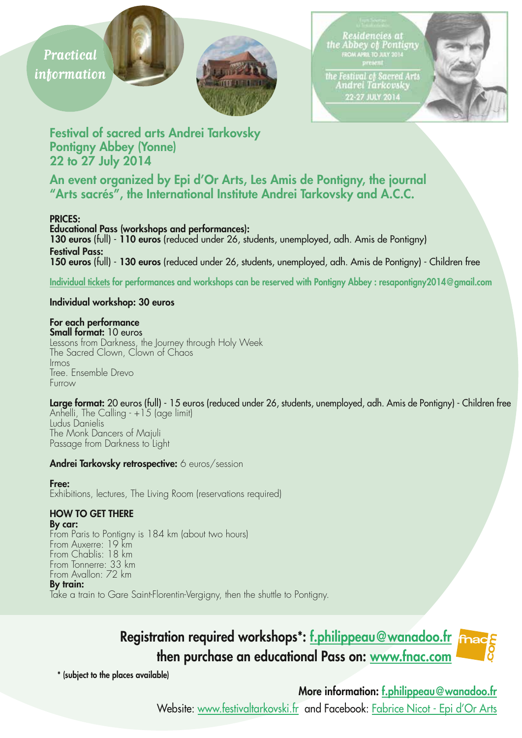



Residencies at<br>the Abbey of Pontigny<br>ROM APRIL TO JULY 2014

the Festival of Sacred Arts<br>Andrei Tarkovsky 22-27 JULY 2014



Festival of sacred arts Andrei Tarkovsky Pontigny Abbey (Yonne) 22 to 27 July 2014

An event organized by Epi d'Or Arts, Les Amis de Pontigny, the journal "Arts sacrés", the International Institute Andrei Tarkovsky and A.C.C.

#### PRICES:

Educational Pass (workshops and performances): 130 euros (full) - 110 euros (reduced under 26, students, unemployed, adh. Amis de Pontigny) Festival Pass: 150 euros (full) - 130 euros (reduced under 26, students, unemployed, adh. Amis de Pontigny) - Children free

Individual tickets for performances and workshops can be reserved with Pontigny Abbey : resapontigny2014@gmail.com

#### Individual workshop: 30 euros

#### For each performance

Small format: 10 euros Lessons from Darkness, the Journey through Holy Week The Sacred Clown, Clown of Chaos Irmos Tree. Ensemble Drevo Furrow

Large format: 20 euros (full) - 15 euros (reduced under 26, students, unemployed, adh. Amis de Pontigny) - Children free Anhelli, The Calling - +15 (age limit) Ludus Danielis The Monk Dancers of Majuli Passage from Darkness to Light

#### Andrei Tarkovsky retrospective: 6 euros/session

#### Free:

Exhibitions, lectures, The Living Room (reservations required)

#### HOW TO GET THERE

By car: From Paris to Pontigny is 184 km (about two hours) From Auxerre: 19 km From Chablis: 18 km From Tonnerre: 33 km From Avallon: 72 km

#### By train:

Take a train to Gare Saint-Florentin-Vergigny, then the shuttle to Pontigny.

# Registration required workshops\*: f.philippeau@wanadoo.fr then purchase an educational Pass on: www.fnac.com

\* (subject to the places available)

# More information: f.philippeau@wanadoo.fr

Website: www.festivaltarkovski.fr and Facebook: Fabrice Nicot - Epi d'Or Arts